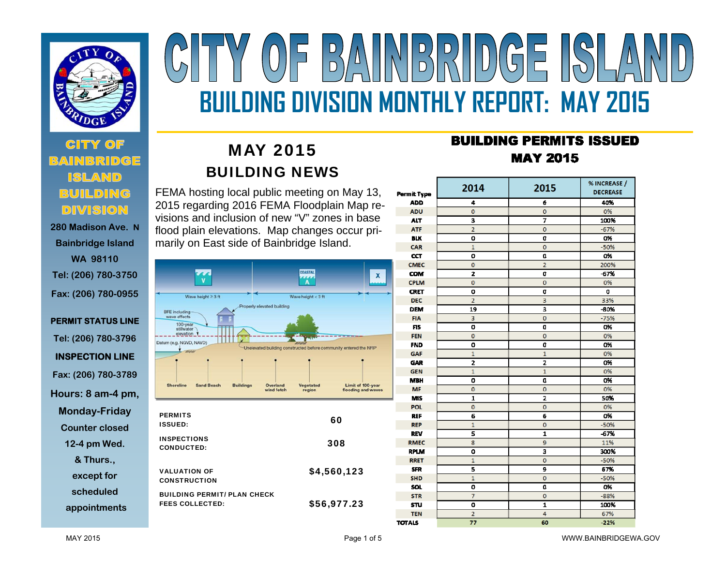

 **280 Madison Ave. NBainbridge Island WA 98110 Tel: (206) 780-3750 Fax: (206) 780-0955** 

### **PERMIT STATUS LINE Tel: (206) 780-3796 INSPECTION LINE Fax: (206) 780-3789 Hours: 8 am-4 pm, Monday-Friday Counter closed 12-4 pm Wed. & Thurs., except for scheduled appointments**

# $\left\| \left\| \left[ \begin{array}{c} D \\ D \end{array} \right] \right\| \left[ \left[ \begin{array}{c} D \\ D \end{array} \right] \right] \left[ \left[ \begin{array}{c} D \\ D \end{array} \right] \right] \left[ \left[ \begin{array}{c} D \\ D \end{array} \right] \right] \left[ \left[ \begin{array}{c} D \\ D \end{array} \right] \right] \left[ \left[ \begin{array}{c} D \\ D \end{array} \right] \left[ \left[ \begin{array}{c} D \\ D \end{array} \right] \right] \left[ \left[ \begin{array}{c} D \\ D \end{array} \right] \right] \$  $\begin{bmatrix} 1 \\ 0 \end{bmatrix}$  $\langle/\Delta\setminus$ **BUILDING DIVISION MONTHLY REPORT: MAY 2015**

# MAY 2015 BUILDING NEWS

FEMA hosting local public meeting on May 13, 2015 regarding 2016 FEMA Floodplain Map revisions and inclusion of new "V" zones in base flood plain elevations. Map changes occur primarily on East side of Bainbridge Island.



## **BUILDING PERMITS ISSUED MAY 2015**

| <b>Permit Type</b> | 2014           | 2015                    | % INCREASE /<br><b>DECREASE</b> |  |
|--------------------|----------------|-------------------------|---------------------------------|--|
| <b>ADD</b>         | 4              | 6                       | 40%                             |  |
| <b>ADU</b>         | $\mathbf 0$    | 0                       | 0%                              |  |
| <b>ALT</b>         | 3              | 7                       | 100%                            |  |
| <b>ATF</b>         | $\overline{2}$ | 0                       | $-67%$                          |  |
| <b>BLK</b>         | O              | O                       | 0%                              |  |
| CAR                | $\mathbf{1}$   | $\overline{0}$          | $-50%$                          |  |
| CCT                | ٥              | O                       | 0%                              |  |
| <b>CMEC</b>        | $\mathbf 0$    | $\overline{z}$          | 200%                            |  |
| <b>COM</b>         | $\overline{z}$ | 0                       | $-67%$                          |  |
| <b>CPLM</b>        | $\bf{0}$       | $\bf{0}$                | 0%                              |  |
| <b>CRET</b>        | o              | O                       | o                               |  |
| <b>DEC</b>         | $\overline{2}$ | 3                       | 33%                             |  |
| <b>DEM</b>         | 19             | з                       | $-80%$                          |  |
| <b>FIA</b>         | 3              | $\mathbf 0$             | $-75%$                          |  |
| <b>FIS</b>         | o              | a                       | 0%                              |  |
| <b>FEN</b>         | $\mathbf{0}$   | 0                       | 0%                              |  |
| <b>FND</b>         | 0              | a                       | 0%                              |  |
| GAF                | $\mathbf{1}$   | $\overline{1}$          | 0%                              |  |
| <b>GAR</b>         | 2              | z                       | 0%                              |  |
| <b>GEN</b>         | $\mathbf{1}$   | $\overline{1}$          | 0%                              |  |
| <b>MBH</b>         | O              | O                       | 0%                              |  |
| <b>MF</b>          | $\mathbf{0}$   | 0                       | 0%                              |  |
| <b>MIS</b>         | 1              | 2                       | 50%                             |  |
| POL                | $\mathbf{0}$   | O                       | 0%                              |  |
| <b>REF</b>         | 6              | 6                       | 0%                              |  |
| <b>REP</b>         | $\mathbf{1}$   | Ō                       | $-50%$                          |  |
| <b>REV</b>         | 5              | 1                       | $-67%$                          |  |
| <b>RMEC</b>        | 8              | 9                       | 11%                             |  |
| <b>RPLM</b>        | O              | 3                       | 300%                            |  |
| <b>RRET</b>        | $\overline{1}$ | $\mathbf{o}$            | $-50%$                          |  |
| <b>SFR</b>         | 5              | 9                       | 67%                             |  |
| <b>SHD</b>         | $\mathbf{1}$   | $\mathbf 0$             | $-50%$                          |  |
| SOL                | ٥              | O                       | 0%                              |  |
| <b>STR</b>         | 7              | O                       | $-88%$                          |  |
| <b>STU</b>         | O              | $\overline{\mathbf{1}}$ | 100%                            |  |
| <b>TEN</b>         | $\overline{a}$ | 4                       | 67%                             |  |
| <b>TOTALS</b>      | 77             | 60                      | $-22%$                          |  |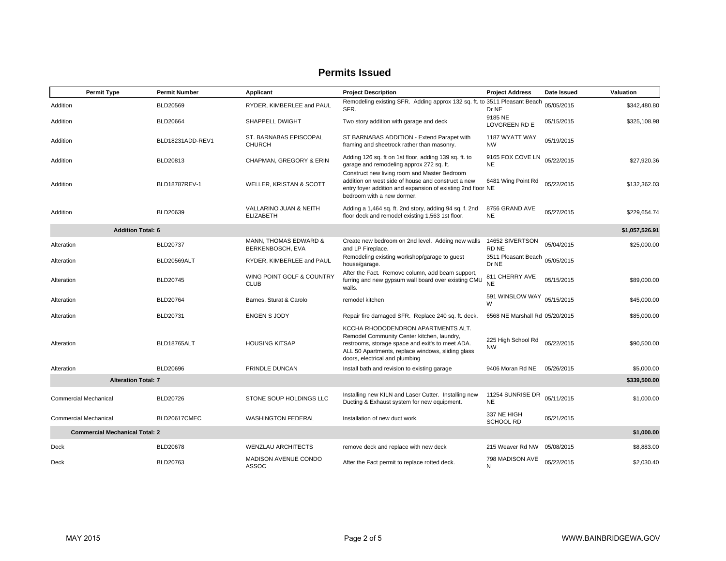#### **Permits Issued**

|                                                     | <b>Permit Type</b>       | <b>Permit Number</b> | Applicant                                  | <b>Project Description</b>                                                                                                                                                                                                  | <b>Project Address</b>          | Date Issued | Valuation      |
|-----------------------------------------------------|--------------------------|----------------------|--------------------------------------------|-----------------------------------------------------------------------------------------------------------------------------------------------------------------------------------------------------------------------------|---------------------------------|-------------|----------------|
| Addition                                            |                          | BLD20569             | RYDER, KIMBERLEE and PAUL                  | Remodeling existing SFR. Adding approx 132 sq. ft. to 3511 Pleasant Beach<br>SFR.                                                                                                                                           | Dr NE                           | 05/05/2015  | \$342,480.80   |
| Addition                                            |                          | <b>BLD20664</b>      | SHAPPELL DWIGHT                            | Two story addition with garage and deck                                                                                                                                                                                     | 9185 NE<br>LOVGREEN RD E        | 05/15/2015  | \$325,108.98   |
| Addition                                            |                          | BLD18231ADD-REV1     | ST. BARNABAS EPISCOPAL<br><b>CHURCH</b>    | ST BARNABAS ADDITION - Extend Parapet with<br>framing and sheetrock rather than masonry.                                                                                                                                    | 1187 WYATT WAY<br><b>NW</b>     | 05/19/2015  |                |
| Addition                                            |                          | BLD20813             | CHAPMAN, GREGORY & ERIN                    | Adding 126 sq. ft on 1st floor, adding 139 sq. ft. to<br>garage and remodeling approx 272 sq. ft.                                                                                                                           | 9165 FOX COVE LN<br><b>NE</b>   | 05/22/2015  | \$27.920.36    |
| Addition                                            |                          | BLD18787REV-1        | WELLER, KRISTAN & SCOTT                    | Construct new living room and Master Bedroom<br>addition on west side of house and construct a new<br>entry foyer addition and expansion of existing 2nd floor NE<br>bedroom with a new dormer.                             | 6481 Wing Point Rd              | 05/22/2015  | \$132,362.03   |
| Addition                                            |                          | BLD20639             | VALLARINO JUAN & NEITH<br><b>ELIZABETH</b> | Adding a 1,464 sq. ft. 2nd story, adding 94 sq. f. 2nd<br>floor deck and remodel existing 1,563 1st floor.                                                                                                                  | 8756 GRAND AVE<br><b>NE</b>     | 05/27/2015  | \$229,654.74   |
|                                                     | <b>Addition Total: 6</b> |                      |                                            |                                                                                                                                                                                                                             |                                 |             | \$1,057,526.91 |
| Alteration                                          |                          | BLD20737             | MANN, THOMAS EDWARD &<br>BERKENBOSCH, EVA  | Create new bedroom on 2nd level. Adding new walls<br>and LP Fireplace.                                                                                                                                                      | 14652 SIVERTSON<br>RD NE        | 05/04/2015  | \$25,000.00    |
| Alteration                                          |                          | BLD20569ALT          | RYDER, KIMBERLEE and PAUL                  | Remodeling existing workshop/garage to guest<br>house/garage.                                                                                                                                                               | 3511 Pleasant Beach<br>Dr NE    | 05/05/2015  |                |
| Alteration                                          |                          | BLD20745             | WING POINT GOLF & COUNTRY<br><b>CLUB</b>   | After the Fact. Remove column, add beam support,<br>furring and new gypsum wall board over existing CMU<br>walls.                                                                                                           | 811 CHERRY AVE<br><b>NE</b>     | 05/15/2015  | \$89,000.00    |
| Alteration                                          |                          | BLD20764             | Barnes, Sturat & Carolo                    | remodel kitchen                                                                                                                                                                                                             | 591 WINSLOW WAY<br>W            | 05/15/2015  | \$45,000.00    |
| Alteration                                          |                          | BLD20731             | <b>ENGEN S JODY</b>                        | Repair fire damaged SFR. Replace 240 sq. ft. deck.                                                                                                                                                                          | 6568 NE Marshall Rd 05/20/2015  |             | \$85,000.00    |
| Alteration                                          |                          | BLD18765ALT          | <b>HOUSING KITSAP</b>                      | KCCHA RHODODENDRON APARTMENTS ALT.<br>Remodel Community Center kitchen, laundry,<br>restrooms, storage space and exit's to meet ADA.<br>ALL 50 Apartments, replace windows, sliding glass<br>doors, electrical and plumbing | 225 High School Rd<br><b>NW</b> | 05/22/2015  | \$90,500.00    |
| Alteration                                          |                          | BLD20696             | PRINDLE DUNCAN                             | Install bath and revision to existing garage                                                                                                                                                                                | 9406 Moran Rd NE                | 05/26/2015  | \$5,000.00     |
| <b>Alteration Total: 7</b>                          |                          |                      |                                            |                                                                                                                                                                                                                             |                                 |             | \$339,500.00   |
| <b>Commercial Mechanical</b>                        |                          | BLD20726             | STONE SOUP HOLDINGS LLC                    | Installing new KILN and Laser Cutter. Installing new<br>Ducting & Exhaust system for new equipment.                                                                                                                         | 11254 SUNRISE DR<br><b>NE</b>   | 05/11/2015  | \$1,000.00     |
| <b>Commercial Mechanical</b>                        |                          | BLD20617CMEC         | <b>WASHINGTON FEDERAL</b>                  | Installation of new duct work.                                                                                                                                                                                              | 337 NE HIGH<br><b>SCHOOL RD</b> | 05/21/2015  |                |
| <b>Commercial Mechanical Total: 2</b><br>\$1,000.00 |                          |                      |                                            |                                                                                                                                                                                                                             |                                 |             |                |
| Deck                                                |                          | <b>BLD20678</b>      | <b>WENZLAU ARCHITECTS</b>                  | remove deck and replace with new deck                                                                                                                                                                                       | 215 Weaver Rd NW 05/08/2015     |             | \$8,883.00     |
| Deck                                                |                          | BLD20763             | MADISON AVENUE CONDO<br>ASSOC              | After the Fact permit to replace rotted deck.                                                                                                                                                                               | 798 MADISON AVE<br>N            | 05/22/2015  | \$2,030.40     |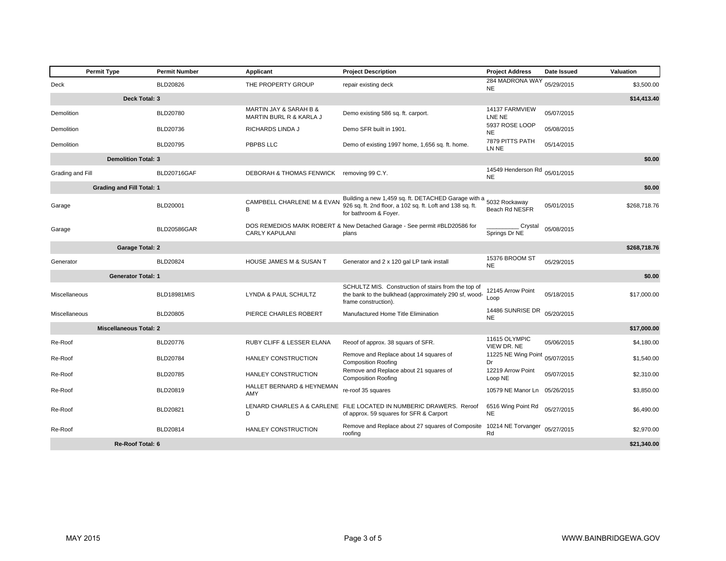|                              | <b>Permit Type</b>               | <b>Permit Number</b> | Applicant                                         | <b>Project Description</b>                                                                                                                              | <b>Project Address</b>                     | Date Issued | Valuation    |  |
|------------------------------|----------------------------------|----------------------|---------------------------------------------------|---------------------------------------------------------------------------------------------------------------------------------------------------------|--------------------------------------------|-------------|--------------|--|
| Deck                         |                                  | <b>BLD20826</b>      | THE PROPERTY GROUP                                | repair existing deck                                                                                                                                    | 284 MADRONA WAY<br><b>NE</b>               | 05/29/2015  | \$3,500.00   |  |
| Deck Total: 3<br>\$14,413.40 |                                  |                      |                                                   |                                                                                                                                                         |                                            |             |              |  |
| Demolition                   |                                  | BLD20780             | MARTIN JAY & SARAH B &<br>MARTIN BURL R & KARLA J | Demo existing 586 sq. ft. carport.                                                                                                                      | 14137 FARMVIEW<br>LNE NE                   | 05/07/2015  |              |  |
| Demolition                   |                                  | BLD20736             | RICHARDS LINDA J                                  | Demo SFR built in 1901.                                                                                                                                 | 5937 ROSE LOOP<br><b>NE</b>                | 05/08/2015  |              |  |
| Demolition                   |                                  | <b>BLD20795</b>      | PBPBS LLC                                         | Demo of existing 1997 home, 1,656 sq. ft. home.                                                                                                         | 7879 PITTS PATH<br>LN NE                   | 05/14/2015  |              |  |
|                              | <b>Demolition Total: 3</b>       |                      |                                                   |                                                                                                                                                         |                                            |             | \$0.00       |  |
| Grading and Fill             |                                  | BLD20716GAF          | DEBORAH & THOMAS FENWICK removing 99 C.Y.         |                                                                                                                                                         | 14549 Henderson Rd 05/01/2015<br><b>NE</b> |             |              |  |
|                              | <b>Grading and Fill Total: 1</b> |                      |                                                   |                                                                                                                                                         |                                            |             | \$0.00       |  |
| Garage                       |                                  | BLD20001             | CAMPBELL CHARLENE M & EVAN<br>В                   | Building a new 1,459 sq. ft. DETACHED Garage with a 5032 Rockaway<br>926 sq. ft. 2nd floor, a 102 sq. ft. Loft and 138 sq. ft.<br>for bathroom & Foyer. | Beach Rd NESFR                             | 05/01/2015  | \$268,718.76 |  |
| Garage                       |                                  | <b>BLD20586GAR</b>   | <b>CARLY KAPULANI</b>                             | DOS REMEDIOS MARK ROBERT & New Detached Garage - See permit #BLD20586 for<br>plans                                                                      | Crystal<br>Springs Dr NE                   | 05/08/2015  |              |  |
|                              | <b>Garage Total: 2</b>           |                      |                                                   |                                                                                                                                                         |                                            |             | \$268,718.76 |  |
| Generator                    |                                  | BLD20824             | HOUSE JAMES M & SUSAN T                           | Generator and 2 x 120 gal LP tank install                                                                                                               | 15376 BROOM ST<br><b>NE</b>                | 05/29/2015  |              |  |
|                              | <b>Generator Total: 1</b>        |                      |                                                   |                                                                                                                                                         |                                            |             | \$0.00       |  |
| Miscellaneous                |                                  | <b>BLD18981MIS</b>   | LYNDA & PAUL SCHULTZ                              | SCHULTZ MIS. Construction of stairs from the top of<br>the bank to the bulkhead (approximately 290 sf, wood-<br>frame construction).                    | 12145 Arrow Point<br>Loop                  | 05/18/2015  | \$17,000.00  |  |
| Miscellaneous                |                                  | <b>BLD20805</b>      | PIERCE CHARLES ROBERT                             | Manufactured Home Title Elimination                                                                                                                     | 14486 SUNRISE DR<br><b>NE</b>              | 05/20/2015  |              |  |
|                              | <b>Miscellaneous Total: 2</b>    |                      |                                                   |                                                                                                                                                         |                                            |             | \$17,000.00  |  |
| Re-Roof                      |                                  | BLD20776             | RUBY CLIFF & LESSER ELANA                         | Reoof of approx. 38 squars of SFR.                                                                                                                      | 11615 OLYMPIC<br>VIEW DR. NE               | 05/06/2015  | \$4,180.00   |  |
| Re-Roof                      |                                  | BLD20784             | HANLEY CONSTRUCTION                               | Remove and Replace about 14 squares of<br><b>Composition Roofing</b>                                                                                    | 11225 NE Wing Point 05/07/2015<br>Dr       |             | \$1,540.00   |  |
| Re-Roof                      |                                  | BLD20785             | HANLEY CONSTRUCTION                               | Remove and Replace about 21 squares of<br><b>Composition Roofing</b>                                                                                    | 12219 Arrow Point<br>Loop NE               | 05/07/2015  | \$2,310.00   |  |
| Re-Roof                      |                                  | BLD20819             | HALLET BERNARD & HEYNEMAN<br>AMY                  | re-roof 35 squares                                                                                                                                      | 10579 NE Manor Ln 05/26/2015               |             | \$3,850.00   |  |
| Re-Roof                      |                                  | BLD20821             | D                                                 | LENARD CHARLES A & CARLENE FILE LOCATED IN NUMBERIC DRAWERS. Reroof<br>of approx. 59 squares for SFR & Carport                                          | 6516 Wing Point Rd<br><b>NE</b>            | 05/27/2015  | \$6,490.00   |  |
| Re-Roof                      |                                  | BLD20814             | HANLEY CONSTRUCTION                               | Remove and Replace about 27 squares of Composite 10214 NE Torvanger<br>roofing                                                                          | Rd                                         | 05/27/2015  | \$2,970.00   |  |
|                              | <b>Re-Roof Total: 6</b>          |                      |                                                   |                                                                                                                                                         |                                            |             | \$21,340.00  |  |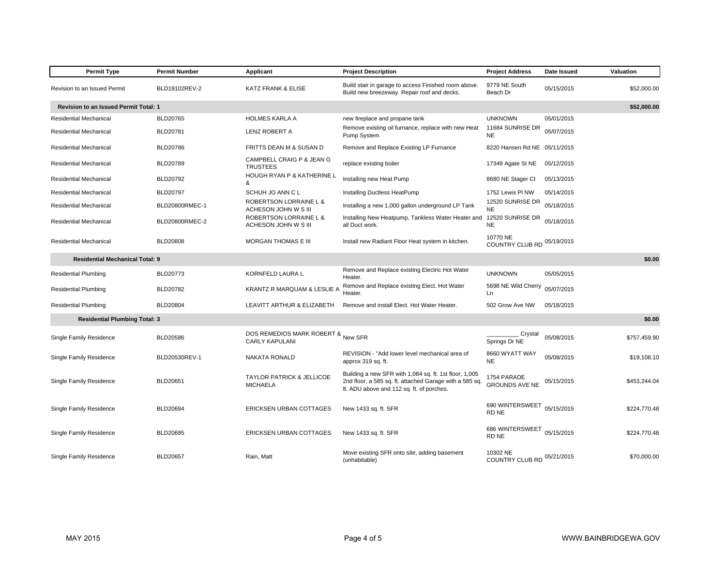| <b>Permit Type</b>                           | <b>Permit Number</b> | Applicant                                                   | <b>Project Description</b>                                                                                                                                     | <b>Project Address</b>               | Date Issued | Valuation    |
|----------------------------------------------|----------------------|-------------------------------------------------------------|----------------------------------------------------------------------------------------------------------------------------------------------------------------|--------------------------------------|-------------|--------------|
| Revision to an Issued Permit                 | BLD19102REV-2        | <b>KATZ FRANK &amp; ELISE</b>                               | Build stair in garage to access Finished room above.<br>Build new breezeway. Repair roof and decks.                                                            | 9779 NE South<br>Beach Dr            | 05/15/2015  | \$52,000.00  |
| <b>Revision to an Issued Permit Total: 1</b> |                      |                                                             |                                                                                                                                                                |                                      |             | \$52,000.00  |
| Residential Mechanical                       | BLD20765             | <b>HOLMES KARLA A</b>                                       | new fireplace and propane tank                                                                                                                                 | <b>UNKNOWN</b>                       | 05/01/2015  |              |
| Residential Mechanical                       | BLD20781             | <b>LENZ ROBERT A</b>                                        | Remove existing oil furnance, replace with new Heat<br>Pump System                                                                                             | 11684 SUNRISE DR<br><b>NE</b>        | 05/07/2015  |              |
| Residential Mechanical                       | <b>BLD20786</b>      | FRITTS DEAN M & SUSAN D                                     | Remove and Replace Existing LP Furnance                                                                                                                        | 8220 Hansen Rd NE 05/11/2015         |             |              |
| <b>Residential Mechanical</b>                | BLD20789             | CAMPBELL CRAIG P & JEAN G<br><b>TRUSTEES</b>                | replace existing boiler                                                                                                                                        | 17349 Agate St NE                    | 05/12/2015  |              |
| Residential Mechanical                       | BLD20792             | HOUGH RYAN P & KATHERINE L<br>&                             | Installing new Heat Pump                                                                                                                                       | 8680 NE Stager Ct                    | 05/13/2015  |              |
| Residential Mechanical                       | BLD20797             | SCHUH JO ANN C L                                            | Installing Ductless HeatPump                                                                                                                                   | 1752 Lewis PI NW                     | 05/14/2015  |              |
| <b>Residential Mechanical</b>                | BLD20800RMEC-1       | ROBERTSON LORRAINE L &<br>ACHESON JOHN W S III              | Installing a new 1,000 gallon underground LP Tank                                                                                                              | 12520 SUNRISE DR<br><b>NE</b>        | 05/18/2015  |              |
| Residential Mechanical                       | BLD20800RMEC-2       | ROBERTSON LORRAINE L &<br>ACHESON JOHN W S III              | Installing New Heatpump, Tankless Water Heater and<br>all Duct work.                                                                                           | 12520 SUNRISE DR<br><b>NE</b>        | 05/18/2015  |              |
| Residential Mechanical                       | <b>BLD20808</b>      | MORGAN THOMAS E III                                         | Install new Radiant Floor Heat system in kitchen.                                                                                                              | 10770 NE<br>COUNTRY CLUB RD          | 05/19/2015  |              |
| <b>Residential Mechanical Total: 9</b>       |                      |                                                             |                                                                                                                                                                |                                      |             | \$0.00       |
| <b>Residential Plumbing</b>                  | BLD20773             | KORNFELD LAURA L                                            | Remove and Replace existing Electric Hot Water<br>Heater.                                                                                                      | <b>UNKNOWN</b>                       | 05/05/2015  |              |
| <b>Residential Plumbing</b>                  | BLD20782             | KRANTZ R MARQUAM & LESLIE                                   | Remove and Replace existing Elect. Hot Water<br>Heater.                                                                                                        | 5698 NE Wild Cherry<br>Ln            | 05/07/2015  |              |
| <b>Residential Plumbing</b>                  | <b>BLD20804</b>      | LEAVITT ARTHUR & ELIZABETH                                  | Remove and install Elect. Hot Water Heater.                                                                                                                    | 502 Grow Ave NW                      | 05/18/2015  |              |
| <b>Residential Plumbing Total: 3</b>         |                      |                                                             |                                                                                                                                                                |                                      |             | \$0.00       |
| Single Family Residence                      | BLD20586             | DOS REMEDIOS MARK ROBERT & New SFR<br><b>CARLY KAPULANI</b> |                                                                                                                                                                | Crystal<br>Springs Dr NE             | 05/08/2015  | \$757,459.90 |
| Single Family Residence                      | BLD20530REV-1        | NAKATA RONALD                                               | REVISION - "Add lower level mechanical area of<br>approx 319 sq. ft.                                                                                           | 8660 WYATT WAY<br><b>NE</b>          | 05/08/2015  | \$19,108.10  |
| Single Family Residence                      | <b>BLD20651</b>      | <b>TAYLOR PATRICK &amp; JELLICOE</b><br><b>MICHAELA</b>     | Building a new SFR with 1,084 sq. ft. 1st floor, 1,005<br>2nd floor, a 585 sq. ft. attached Garage with a 585 sq.<br>ft. ADU above and 112 sq. ft. of porches. | 1754 PARADE<br><b>GROUNDS AVE NE</b> | 05/15/2015  | \$453,244.04 |
| Single Family Residence                      | BLD20694             | ERICKSEN URBAN COTTAGES                                     | New 1433 sq. ft. SFR                                                                                                                                           | 690 WINTERSWEET<br>RD NE             | 05/15/2015  | \$224,770.48 |
| Single Family Residence                      | BLD20695             | ERICKSEN URBAN COTTAGES                                     | New 1433 sq. ft. SFR                                                                                                                                           | 686 WINTERSWEET<br>RD NE             | 05/15/2015  | \$224,770.48 |
| Single Family Residence                      | <b>BLD20657</b>      | Rain, Matt                                                  | Move existing SFR onto site, adding basement<br>(unhabitable)                                                                                                  | 10302 NE<br>COUNTRY CLUB RD          | 05/21/2015  | \$70,000.00  |